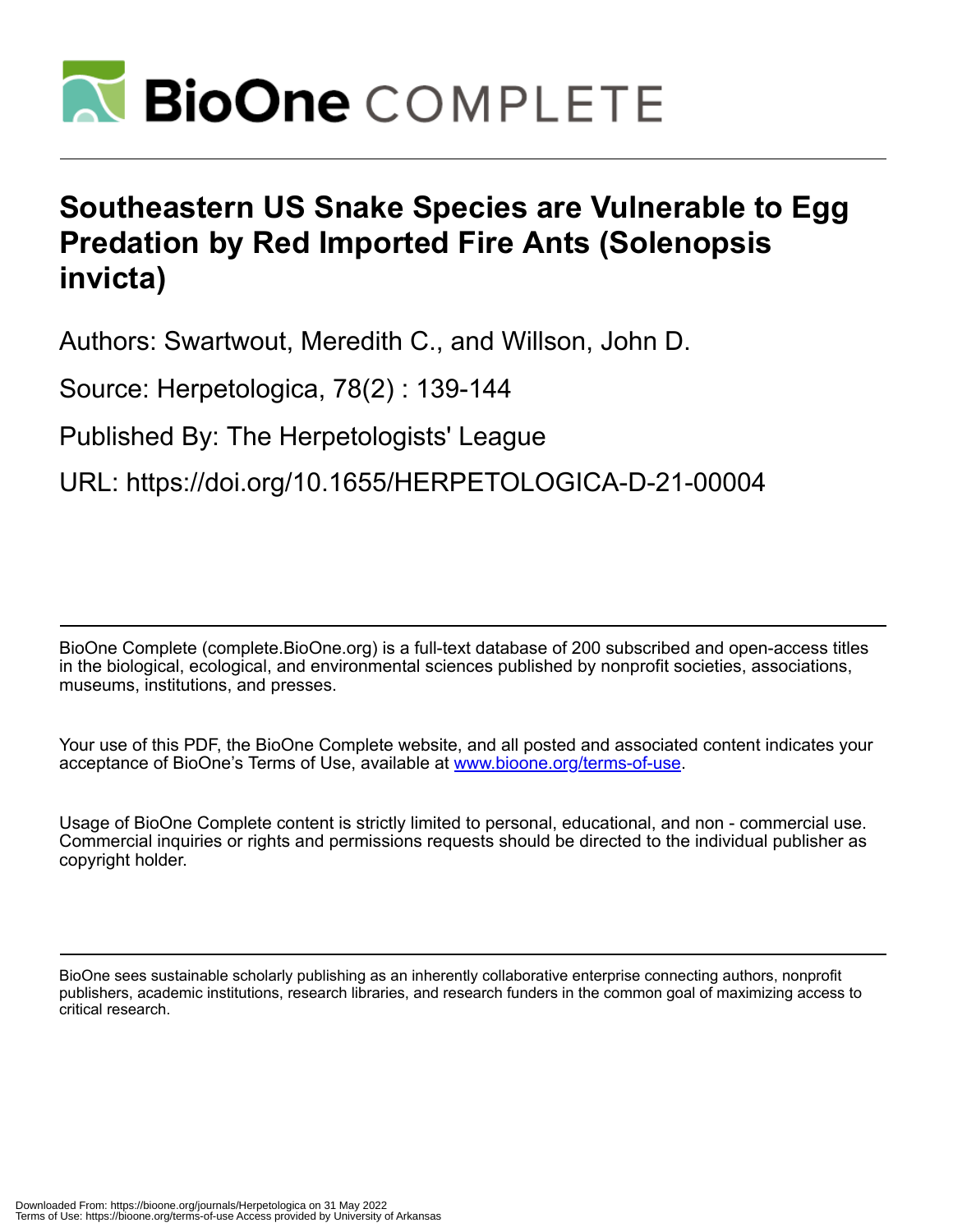

# **Southeastern US Snake Species are Vulnerable to Egg Predation by Red Imported Fire Ants (Solenopsis invicta)**

Authors: Swartwout, Meredith C., and Willson, John D.

Source: Herpetologica, 78(2) : 139-144

Published By: The Herpetologists' League

URL: https://doi.org/10.1655/HERPETOLOGICA-D-21-00004

BioOne Complete (complete.BioOne.org) is a full-text database of 200 subscribed and open-access titles in the biological, ecological, and environmental sciences published by nonprofit societies, associations, museums, institutions, and presses.

Your use of this PDF, the BioOne Complete website, and all posted and associated content indicates your acceptance of BioOne's Terms of Use, available at www.bioone.org/terms-of-use.

Usage of BioOne Complete content is strictly limited to personal, educational, and non - commercial use. Commercial inquiries or rights and permissions requests should be directed to the individual publisher as copyright holder.

BioOne sees sustainable scholarly publishing as an inherently collaborative enterprise connecting authors, nonprofit publishers, academic institutions, research libraries, and research funders in the common goal of maximizing access to critical research.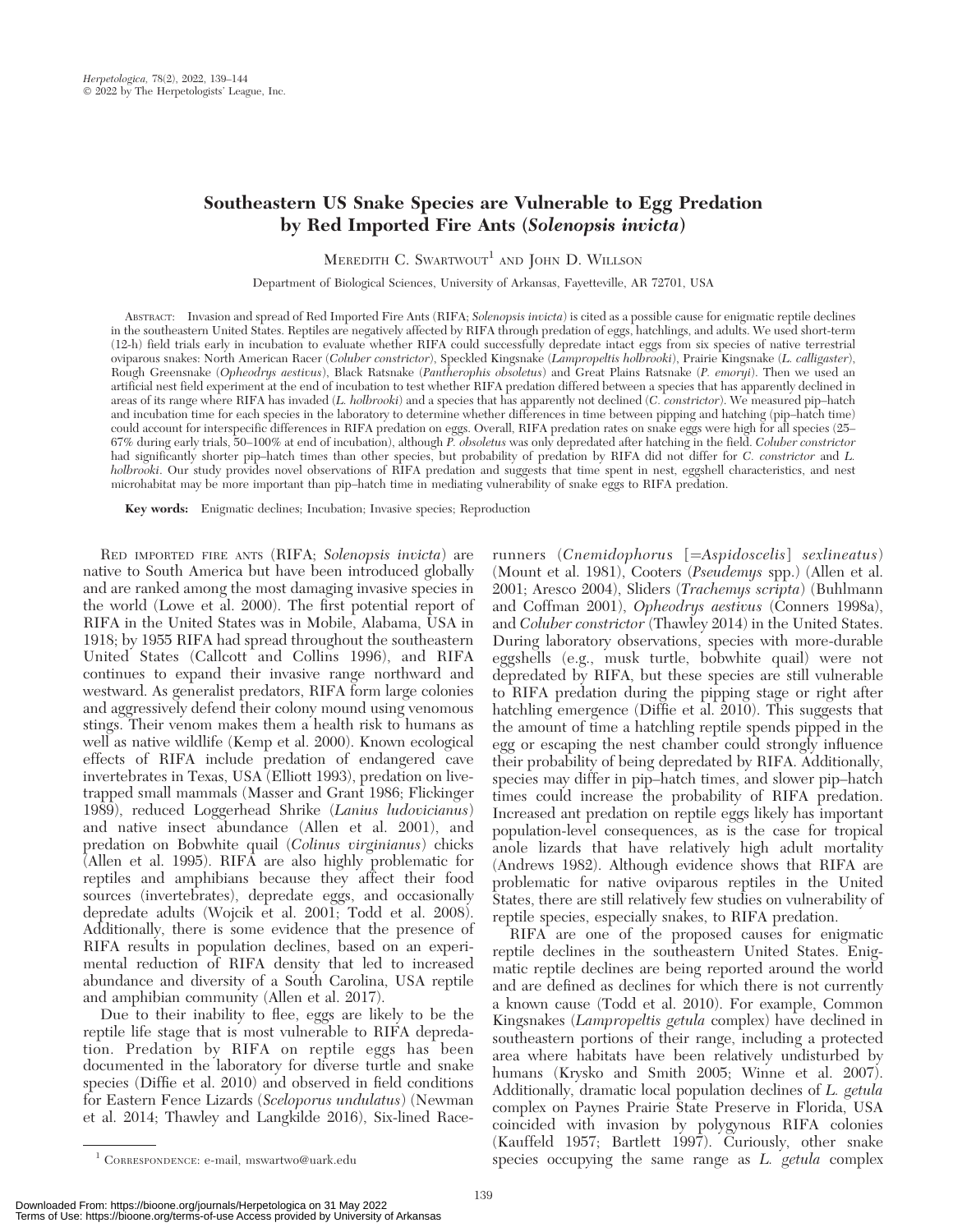# Southeastern US Snake Species are Vulnerable to Egg Predation by Red Imported Fire Ants (Solenopsis invicta)

MEREDITH C. SWARTWOUT<sup>1</sup> AND JOHN D. WILLSON

Department of Biological Sciences, University of Arkansas, Fayetteville, AR 72701, USA

ABSTRACT: Invasion and spread of Red Imported Fire Ants (RIFA; Solenopsis invicta) is cited as a possible cause for enigmatic reptile declines in the southeastern United States. Reptiles are negatively affected by RIFA through predation of eggs, hatchlings, and adults. We used short-term (12-h) field trials early in incubation to evaluate whether RIFA could successfully depredate intact eggs from six species of native terrestrial oviparous snakes: North American Racer (Coluber constrictor), Speckled Kingsnake (Lampropeltis holbrooki), Prairie Kingsnake (L. calligaster), Rough Greensnake (Opheodrys aestivus), Black Ratsnake (Pantherophis obsoletus) and Great Plains Ratsnake (P. emoryi). Then we used an artificial nest field experiment at the end of incubation to test whether RIFA predation differed between a species that has apparently declined in areas of its range where RIFA has invaded (L. holbrooki) and a species that has apparently not declined (C. constrictor). We measured pip–hatch and incubation time for each species in the laboratory to determine whether differences in time between pipping and hatching (pip–hatch time) could account for interspecific differences in RIFA predation on eggs. Overall, RIFA predation rates on snake eggs were high for all species (25– 67% during early trials, 50–100% at end of incubation), although P. obsoletus was only depredated after hatching in the field. Coluber constrictor had significantly shorter pip–hatch times than other species, but probability of predation by RIFA did not differ for C. constrictor and L. holbrooki. Our study provides novel observations of RIFA predation and suggests that time spent in nest, eggshell characteristics, and nest microhabitat may be more important than pip–hatch time in mediating vulnerability of snake eggs to RIFA predation.

Key words: Enigmatic declines; Incubation; Invasive species; Reproduction

RED IMPORTED FIRE ANTS (RIFA; Solenopsis invicta) are native to South America but have been introduced globally and are ranked among the most damaging invasive species in the world (Lowe et al. 2000). The first potential report of RIFA in the United States was in Mobile, Alabama, USA in 1918; by 1955 RIFA had spread throughout the southeastern United States (Callcott and Collins 1996), and RIFA continues to expand their invasive range northward and westward. As generalist predators, RIFA form large colonies and aggressively defend their colony mound using venomous stings. Their venom makes them a health risk to humans as well as native wildlife (Kemp et al. 2000). Known ecological effects of RIFA include predation of endangered cave invertebrates in Texas, USA (Elliott 1993), predation on livetrapped small mammals (Masser and Grant 1986; Flickinger 1989), reduced Loggerhead Shrike (Lanius ludovicianus) and native insect abundance (Allen et al. 2001), and predation on Bobwhite quail (Colinus virginianus) chicks  $\lambda$ llen et al. 1995). RIF $\bar{A}$  are also highly problematic for reptiles and amphibians because they affect their food sources (invertebrates), depredate eggs, and occasionally depredate adults (Wojcik et al. 2001; Todd et al. 2008). Additionally, there is some evidence that the presence of RIFA results in population declines, based on an experimental reduction of RIFA density that led to increased abundance and diversity of a South Carolina, USA reptile and amphibian community (Allen et al. 2017).

Due to their inability to flee, eggs are likely to be the reptile life stage that is most vulnerable to RIFA depredation. Predation by RIFA on reptile eggs has been documented in the laboratory for diverse turtle and snake species (Diffie et al. 2010) and observed in field conditions for Eastern Fence Lizards (Sceloporus undulatus) (Newman et al. 2014; Thawley and Langkilde 2016), Six-lined Racerunners (Cnemidophorus [=Aspidoscelis] sexlineatus) (Mount et al. 1981), Cooters (Pseudemys spp.) (Allen et al. 2001; Aresco 2004), Sliders (Trachemys scripta) (Buhlmann and Coffman 2001), Opheodrys aestivus (Conners 1998a), and Coluber constrictor (Thawley 2014) in the United States. During laboratory observations, species with more-durable eggshells (e.g., musk turtle, bobwhite quail) were not depredated by RIFA, but these species are still vulnerable to RIFA predation during the pipping stage or right after hatchling emergence (Diffie et al. 2010). This suggests that the amount of time a hatchling reptile spends pipped in the egg or escaping the nest chamber could strongly influence their probability of being depredated by RIFA. Additionally, species may differ in pip–hatch times, and slower pip–hatch times could increase the probability of RIFA predation. Increased ant predation on reptile eggs likely has important population-level consequences, as is the case for tropical anole lizards that have relatively high adult mortality (Andrews 1982). Although evidence shows that RIFA are problematic for native oviparous reptiles in the United States, there are still relatively few studies on vulnerability of reptile species, especially snakes, to RIFA predation.

RIFA are one of the proposed causes for enigmatic reptile declines in the southeastern United States. Enigmatic reptile declines are being reported around the world and are defined as declines for which there is not currently a known cause (Todd et al. 2010). For example, Common Kingsnakes (Lampropeltis getula complex) have declined in southeastern portions of their range, including a protected area where habitats have been relatively undisturbed by humans (Krysko and Smith 2005; Winne et al. 2007). Additionally, dramatic local population declines of L. getula complex on Paynes Prairie State Preserve in Florida, USA coincided with invasion by polygynous RIFA colonies (Kauffeld 1957; Bartlett 1997). Curiously, other snake <sup>1</sup> CORRESPONDENCE: e-mail, mswartwo@uark.edu species occupying the same range as *L. getula* complex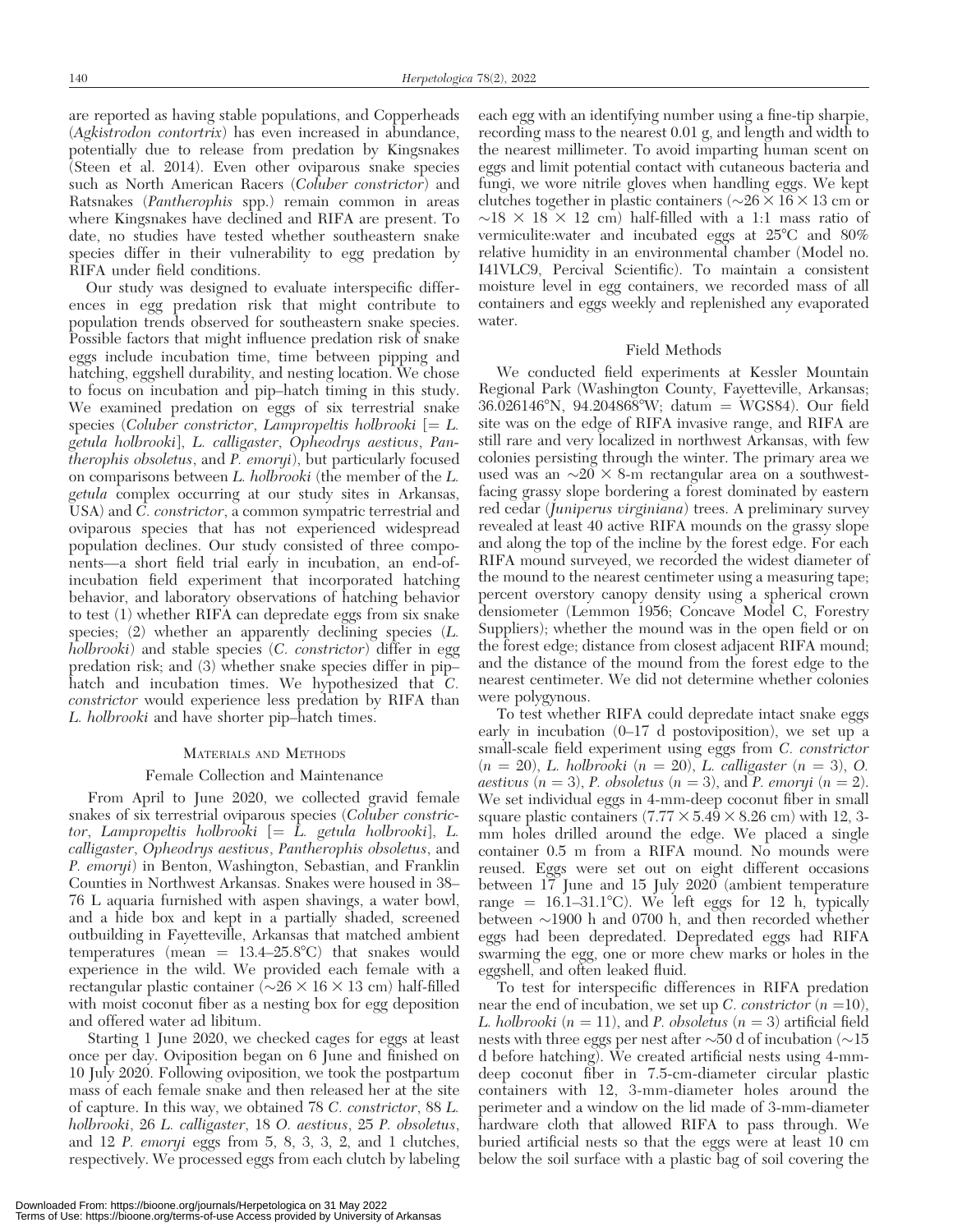are reported as having stable populations, and Copperheads (Agkistrodon contortrix) has even increased in abundance, potentially due to release from predation by Kingsnakes (Steen et al. 2014). Even other oviparous snake species such as North American Racers (Coluber constrictor) and Ratsnakes (Pantherophis spp.) remain common in areas where Kingsnakes have declined and RIFA are present. To date, no studies have tested whether southeastern snake species differ in their vulnerability to egg predation by RIFA under field conditions.

Our study was designed to evaluate interspecific differences in egg predation risk that might contribute to population trends observed for southeastern snake species. Possible factors that might influence predation risk of snake eggs include incubation time, time between pipping and hatching, eggshell durability, and nesting location. We chose to focus on incubation and pip–hatch timing in this study. We examined predation on eggs of six terrestrial snake species (Coluber constrictor, Lampropeltis holbrooki  $[= L.$ getula holbrooki], L. calligaster, Opheodrys aestivus, Pantherophis obsoletus, and P. emoryi), but particularly focused on comparisons between L. holbrooki (the member of the L. getula complex occurring at our study sites in Arkansas, USA) and C. constrictor, a common sympatric terrestrial and oviparous species that has not experienced widespread population declines. Our study consisted of three components—a short field trial early in incubation, an end-ofincubation field experiment that incorporated hatching behavior, and laboratory observations of hatching behavior to test (1) whether RIFA can depredate eggs from six snake species; (2) whether an apparently declining species (L. holbrooki) and stable species (C. constrictor) differ in egg predation risk; and (3) whether snake species differ in pip– hatch and incubation times. We hypothesized that C. constrictor would experience less predation by RIFA than L. holbrooki and have shorter pip–hatch times.

#### MATERIALS AND METHODS

### Female Collection and Maintenance

From April to June 2020, we collected gravid female snakes of six terrestrial oviparous species (Coluber constrictor, Lampropeltis holbrooki  $\left| = \overline{L} \right|$  getula holbrooki, L. calligaster, Opheodrys aestivus, Pantherophis obsoletus, and P. emoryi) in Benton, Washington, Sebastian, and Franklin Counties in Northwest Arkansas. Snakes were housed in 38– 76 L aquaria furnished with aspen shavings, a water bowl, and a hide box and kept in a partially shaded, screened outbuilding in Fayetteville, Arkansas that matched ambient temperatures (mean  $= 13.4-25.8$ °C) that snakes would experience in the wild. We provided each female with a rectangular plastic container ( $\sim$ 26  $\times$  16  $\times$  13 cm) half-filled with moist coconut fiber as a nesting box for egg deposition and offered water ad libitum.

Starting 1 June 2020, we checked cages for eggs at least once per day. Oviposition began on 6 June and finished on 10 July 2020. Following oviposition, we took the postpartum mass of each female snake and then released her at the site of capture. In this way, we obtained 78 C. constrictor, 88 L. holbrooki, 26 L. calligaster, 18 O. aestivus, 25 P. obsoletus, and 12 P. emoryi eggs from 5, 8, 3, 3, 2, and 1 clutches, respectively. We processed eggs from each clutch by labeling

each egg with an identifying number using a fine-tip sharpie, recording mass to the nearest 0.01 g, and length and width to the nearest millimeter. To avoid imparting human scent on eggs and limit potential contact with cutaneous bacteria and fungi, we wore nitrile gloves when handling eggs. We kept clutches together in plastic containers ( $\sim$ 26  $\times$  16  $\times$  13 cm or  $\sim$ 18  $\times$  18  $\times$  12 cm) half-filled with a 1:1 mass ratio of vermiculite:water and incubated eggs at  $25^{\circ}$ C and  $80\%$ relative humidity in an environmental chamber (Model no. I41VLC9, Percival Scientific). To maintain a consistent moisture level in egg containers, we recorded mass of all containers and eggs weekly and replenished any evaporated water.

#### Field Methods

We conducted field experiments at Kessler Mountain Regional Park (Washington County, Fayetteville, Arkansas;  $36.026146^{\circ}$ N,  $94.204868^{\circ}$ W; datum = WGS84). Our field site was on the edge of RIFA invasive range, and RIFA are still rare and very localized in northwest Arkansas, with few colonies persisting through the winter. The primary area we used was an  $\sim$ 20  $\times$  8-m rectangular area on a southwestfacing grassy slope bordering a forest dominated by eastern red cedar (Juniperus virginiana) trees. A preliminary survey revealed at least 40 active RIFA mounds on the grassy slope and along the top of the incline by the forest edge. For each RIFA mound surveyed, we recorded the widest diameter of the mound to the nearest centimeter using a measuring tape; percent overstory canopy density using a spherical crown densiometer (Lemmon 1956; Concave Model C, Forestry Suppliers); whether the mound was in the open field or on the forest edge; distance from closest adjacent RIFA mound; and the distance of the mound from the forest edge to the nearest centimeter. We did not determine whether colonies were polygynous.

To test whether RIFA could depredate intact snake eggs early in incubation (0–17 d postoviposition), we set up a small-scale field experiment using eggs from C. constrictor  $(n = 20)$ , L. holbrooki  $(n = 20)$ , L. calligaster  $(n = 3)$ , O. *aestivus*  $(n = 3)$ , *P. obsoletus*  $(n = 3)$ , and *P. emoryi*  $(n = 2)$ . We set individual eggs in 4-mm-deep coconut fiber in small square plastic containers  $(7.77 \times 5.49 \times 8.26 \text{ cm})$  with 12, 3mm holes drilled around the edge. We placed a single container 0.5 m from a RIFA mound. No mounds were reused. Eggs were set out on eight different occasions between 17 June and 15 July 2020 (ambient temperature range =  $16.1-31.1^{\circ}$ C). We left eggs for 12 h, typically between  $\sim$ 1900 h and 0700 h, and then recorded whether eggs had been depredated. Depredated eggs had RIFA swarming the egg, one or more chew marks or holes in the eggshell, and often leaked fluid.

To test for interspecific differences in RIFA predation near the end of incubation, we set up C. constrictor  $(n=10)$ , L. holbrooki ( $n = 11$ ), and P. obsoletus ( $n = 3$ ) artificial field nests with three eggs per nest after  $\sim$ 50 d of incubation ( $\sim$ 15 d before hatching). We created artificial nests using 4-mmdeep coconut fiber in 7.5-cm-diameter circular plastic containers with 12, 3-mm-diameter holes around the perimeter and a window on the lid made of 3-mm-diameter hardware cloth that allowed RIFA to pass through. We buried artificial nests so that the eggs were at least 10 cm below the soil surface with a plastic bag of soil covering the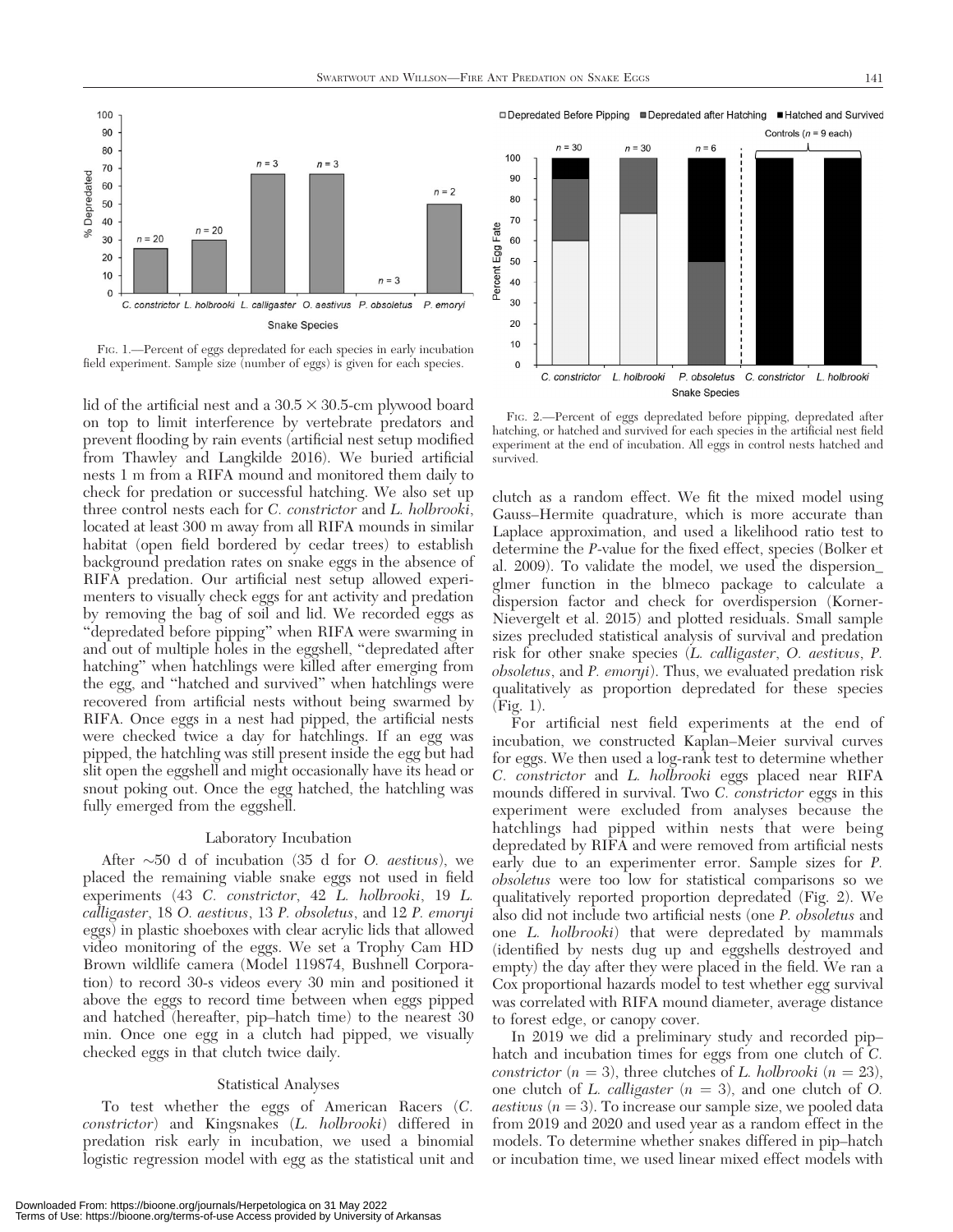

FIG. 1.––Percent of eggs depredated for each species in early incubation field experiment. Sample size (number of eggs) is given for each species.

lid of the artificial nest and a  $30.5 \times 30.5$ -cm plywood board on top to limit interference by vertebrate predators and prevent flooding by rain events (artificial nest setup modified from Thawley and Langkilde 2016). We buried artificial nests 1 m from a RIFA mound and monitored them daily to check for predation or successful hatching. We also set up three control nests each for C. constrictor and L. holbrooki, located at least 300 m away from all RIFA mounds in similar habitat (open field bordered by cedar trees) to establish background predation rates on snake eggs in the absence of RIFA predation. Our artificial nest setup allowed experimenters to visually check eggs for ant activity and predation by removing the bag of soil and lid. We recorded eggs as ''depredated before pipping'' when RIFA were swarming in and out of multiple holes in the eggshell, ''depredated after hatching'' when hatchlings were killed after emerging from the egg, and ''hatched and survived'' when hatchlings were recovered from artificial nests without being swarmed by RIFA. Once eggs in a nest had pipped, the artificial nests were checked twice a day for hatchlings. If an egg was pipped, the hatchling was still present inside the egg but had slit open the eggshell and might occasionally have its head or snout poking out. Once the egg hatched, the hatchling was fully emerged from the eggshell.

# Laboratory Incubation

After  $\sim$ 50 d of incubation (35 d for O. *aestivus*), we placed the remaining viable snake eggs not used in field experiments (43 C. constrictor, 42 L. holbrooki, 19 L. calligaster, 18 O. aestivus, 13 P. obsoletus, and 12 P. emoryi eggs) in plastic shoeboxes with clear acrylic lids that allowed video monitoring of the eggs. We set a Trophy Cam HD Brown wildlife camera (Model 119874, Bushnell Corporation) to record 30-s videos every 30 min and positioned it above the eggs to record time between when eggs pipped and hatched (hereafter, pip–hatch time) to the nearest 30 min. Once one egg in a clutch had pipped, we visually checked eggs in that clutch twice daily.

# Statistical Analyses

To test whether the eggs of American Racers (C. constrictor) and Kingsnakes (L. holbrooki) differed in predation risk early in incubation, we used a binomial logistic regression model with egg as the statistical unit and

□ Depredated Before Pipping ■ Depredated after Hatching ■ Hatched and Survived



FIG. 2.––Percent of eggs depredated before pipping, depredated after hatching, or hatched and survived for each species in the artificial nest field experiment at the end of incubation. All eggs in control nests hatched and survived.

clutch as a random effect. We fit the mixed model using Gauss–Hermite quadrature, which is more accurate than Laplace approximation, and used a likelihood ratio test to determine the P-value for the fixed effect, species (Bolker et al. 2009). To validate the model, we used the dispersion\_ glmer function in the blmeco package to calculate a dispersion factor and check for overdispersion (Korner-Nievergelt et al. 2015) and plotted residuals. Small sample sizes precluded statistical analysis of survival and predation risk for other snake species (L. calligaster, O. aestivus, P. obsoletus, and P. emoryi). Thus, we evaluated predation risk qualitatively as proportion depredated for these species (Fig. 1).

For artificial nest field experiments at the end of incubation, we constructed Kaplan–Meier survival curves for eggs. We then used a log-rank test to determine whether C. constrictor and L. holbrooki eggs placed near RIFA mounds differed in survival. Two C. constrictor eggs in this experiment were excluded from analyses because the hatchlings had pipped within nests that were being depredated by RIFA and were removed from artificial nests early due to an experimenter error. Sample sizes for P. obsoletus were too low for statistical comparisons so we qualitatively reported proportion depredated (Fig. 2). We also did not include two artificial nests (one P. obsoletus and one L. holbrooki) that were depredated by mammals (identified by nests dug up and eggshells destroyed and empty) the day after they were placed in the field. We ran a Cox proportional hazards model to test whether egg survival was correlated with RIFA mound diameter, average distance to forest edge, or canopy cover.

In 2019 we did a preliminary study and recorded pip– hatch and incubation times for eggs from one clutch of C. constrictor  $(n = 3)$ , three clutches of L. holbrooki  $(n = 23)$ , one clutch of L. *calligaster*  $(n = 3)$ , and one clutch of O. *aestivus*  $(n = 3)$ . To increase our sample size, we pooled data from 2019 and 2020 and used year as a random effect in the models. To determine whether snakes differed in pip–hatch or incubation time, we used linear mixed effect models with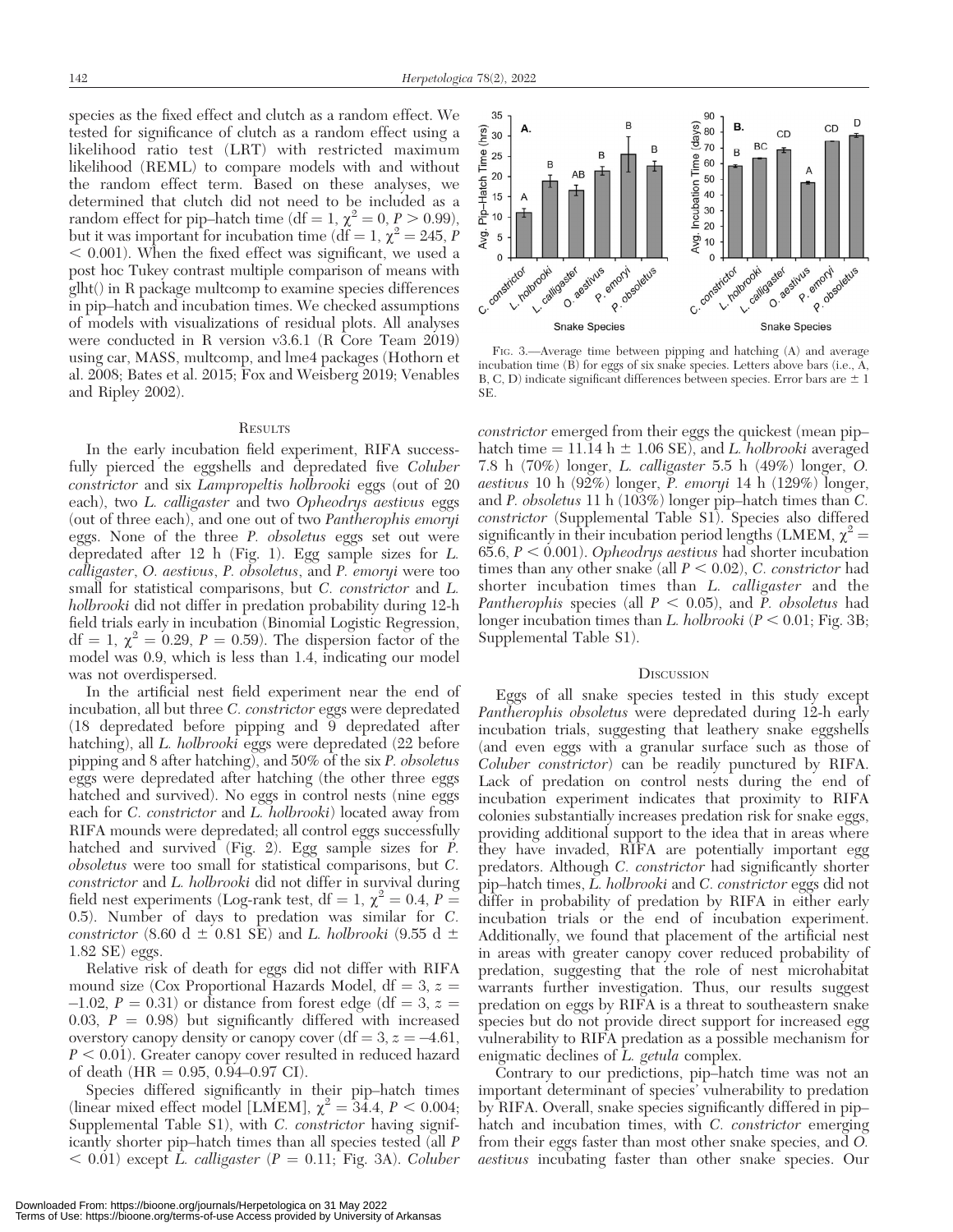species as the fixed effect and clutch as a random effect. We tested for significance of clutch as a random effect using a likelihood ratio test (LRT) with restricted maximum likelihood (REML) to compare models with and without the random effect term. Based on these analyses, we determined that clutch did not need to be included as a random effect for pip–hatch time (df = 1,  $\chi^2 = 0$ ,  $P > 0.99$ ), but it was important for incubation time (df = 1,  $\chi^2 = 245$ , P  $<$  0.001). When the fixed effect was significant, we used a post hoc Tukey contrast multiple comparison of means with glht() in R package multcomp to examine species differences in pip–hatch and incubation times. We checked assumptions of models with visualizations of residual plots. All analyses were conducted in R version v3.6.1 (R Core Team 2019) using car, MASS, multcomp, and lme4 packages (Hothorn et al. 2008; Bates et al. 2015; Fox and Weisberg 2019; Venables and Ripley 2002).

#### **RESULTS**

In the early incubation field experiment, RIFA successfully pierced the eggshells and depredated five Coluber constrictor and six Lampropeltis holbrooki eggs (out of 20 each), two L. calligaster and two Opheodrys aestivus eggs (out of three each), and one out of two Pantherophis emoryi eggs. None of the three P. obsoletus eggs set out were depredated after 12 h (Fig. 1). Egg sample sizes for L. calligaster, O. aestivus, P. obsoletus, and P. emoryi were too small for statistical comparisons, but C. constrictor and L. holbrooki did not differ in predation probability during 12-h field trials early in incubation (Binomial Logistic Regression,  $df = 1$ ,  $\chi^2 = 0.29$ ,  $P = 0.59$ ). The dispersion factor of the model was 0.9, which is less than 1.4, indicating our model was not overdispersed.

In the artificial nest field experiment near the end of incubation, all but three C. constrictor eggs were depredated  $(18$  depredated before pipping and  $\overline{9}$  depredated after hatching), all L. holbrooki eggs were depredated (22 before pipping and 8 after hatching), and 50% of the six P. obsoletus eggs were depredated after hatching (the other three eggs hatched and survived). No eggs in control nests (nine eggs each for C. constrictor and L. holbrooki) located away from RIFA mounds were depredated; all control eggs successfully hatched and survived (Fig. 2). Egg sample sizes for P. obsoletus were too small for statistical comparisons, but C. constrictor and L. holbrooki did not differ in survival during field nest experiments (Log-rank test, df = 1,  $\chi^2$  = 0.4, P = 0.5). Number of days to predation was similar for C. constrictor (8.60 d  $\pm$  0.81 SE) and L. holbrooki (9.55 d  $\pm$ 1.82 SE) eggs.

Relative risk of death for eggs did not differ with RIFA mound size (Cox Proportional Hazards Model, df = 3,  $z =$  $-1.02$ ,  $P = 0.31$ ) or distance from forest edge (df = 3, z = 0.03,  $P = 0.98$ ) but significantly differed with increased overstory canopy density or canopy cover (df  $= 3, z = -4.61,$  $P < 0.01$ ). Greater canopy cover resulted in reduced hazard of death (HR =  $0.95, 0.94{\text -}0.97$  CI).

Species differed significantly in their pip–hatch times (linear mixed effect model [LMEM],  $\chi^2 = 34.4$ ,  $P < 0.004$ ; Supplemental Table S1), with C. constrictor having significantly shorter pip–hatch times than all species tested (all P  $<$  0.01) except L. calligaster (P = 0.11; Fig. 3A). Coluber

35 90 D B Incubation Time (days)<br>2 8 8 8 9 8 9 8 1 B. CD A  $\left(\frac{6}{5}\right)$  30 CD **BC** B Pip-Hatch Time 25 B 20 AB 15 10 Avg.  $\overline{5}$ Avg.  $10$  $\Omega$ strictor call gaster estivus strictor call C. constrator O. 8estivus Irooki gaster R. emony emont detus v. califoaster R. emony emont detus constrictor **Snake Species Snake Species** 

FIG. 3.––Average time between pipping and hatching (A) and average incubation time  $(\tilde{B})$  for eggs of six snake species. Letters above bars (i.e.,  $\tilde{A}$ , B, C, D) indicate significant differences between species. Error bars are  $\pm 1$ SE.

constrictor emerged from their eggs the quickest (mean pip– hatch time  $= 11.14 h \pm 1.06 SE$ , and L. holbrooki averaged 7.8 h (70%) longer, L. calligaster 5.5 h (49%) longer, O. aestivus 10 h  $(92\%)$  longer, P. emoryi 14 h (129%) longer, and P. obsoletus 11 h (103%) longer pip–hatch times than C. constrictor (Supplemental Table S1). Species also differed significantly in their incubation period lengths (LMEM,  $\chi^2$  = 65.6,  $P < 0.001$ ). Opheodrys aestivus had shorter incubation times than any other snake (all  $P < 0.02$ ), C. constrictor had shorter incubation times than *L. calligaster* and the Pantherophis species (all  $P < 0.05$ ), and P. obsoletus had longer incubation times than L. holbrooki ( $P < 0.01$ ; Fig. 3B; Supplemental Table S1).

# **DISCUSSION**

Eggs of all snake species tested in this study except Pantherophis obsoletus were depredated during 12-h early incubation trials, suggesting that leathery snake eggshells (and even eggs with a granular surface such as those of Coluber constrictor) can be readily punctured by RIFA. Lack of predation on control nests during the end of incubation experiment indicates that proximity to RIFA colonies substantially increases predation risk for snake eggs, providing additional support to the idea that in areas where they have invaded, RIFA are potentially important egg predators. Although C. constrictor had significantly shorter pip–hatch times, L. holbrooki and C. constrictor eggs did not differ in probability of predation by RIFA in either early incubation trials or the end of incubation experiment. Additionally, we found that placement of the artificial nest in areas with greater canopy cover reduced probability of predation, suggesting that the role of nest microhabitat warrants further investigation. Thus, our results suggest predation on eggs by RIFA is a threat to southeastern snake species but do not provide direct support for increased egg vulnerability to RIFA predation as a possible mechanism for enigmatic declines of L. getula complex.

Contrary to our predictions, pip–hatch time was not an important determinant of species' vulnerability to predation by RIFA. Overall, snake species significantly differed in pip– hatch and incubation times, with C. constrictor emerging from their eggs faster than most other snake species, and O. aestivus incubating faster than other snake species. Our

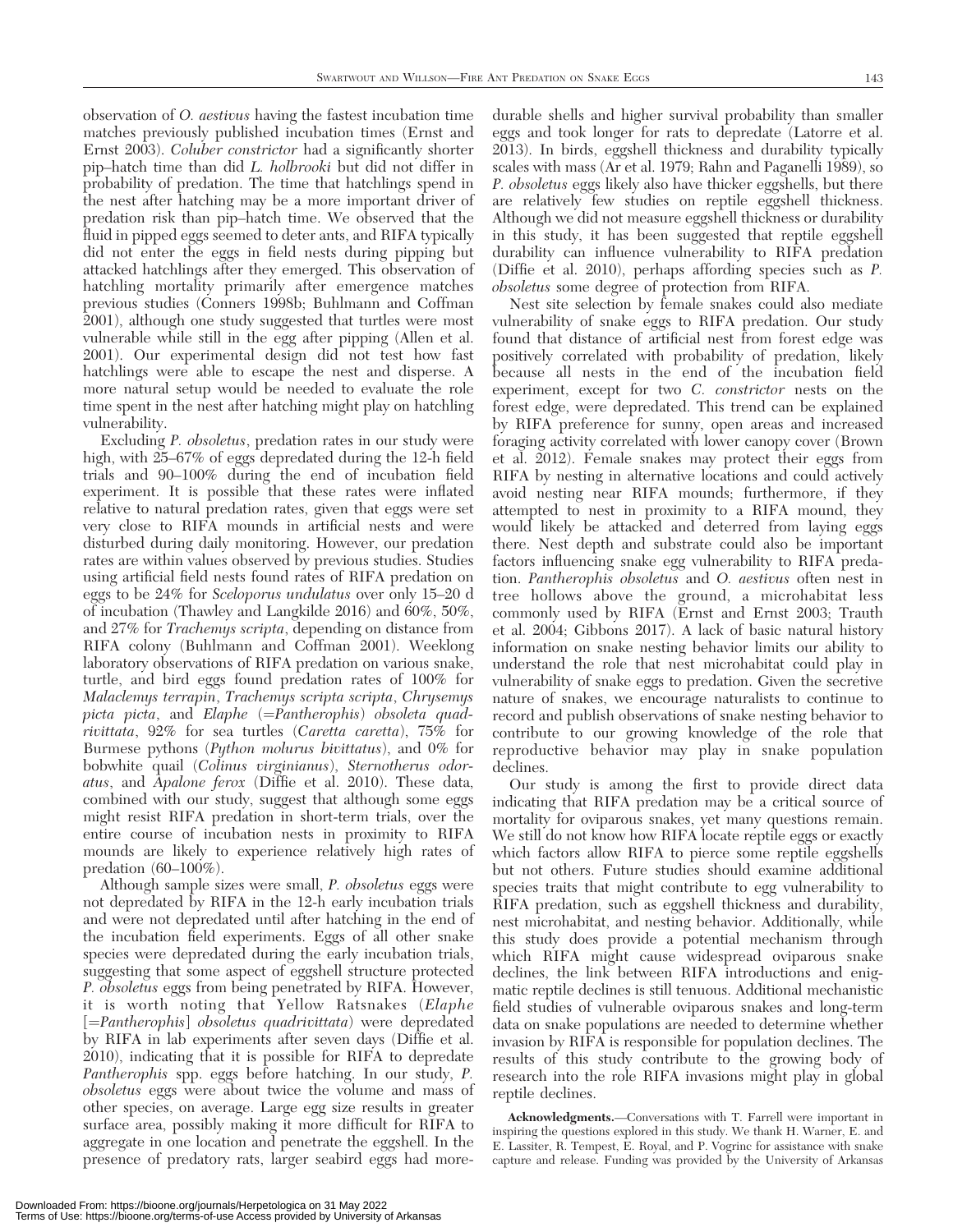observation of O. aestivus having the fastest incubation time matches previously published incubation times (Ernst and Ernst 2003). Coluber constrictor had a significantly shorter pip–hatch time than did L. holbrooki but did not differ in probability of predation. The time that hatchlings spend in the nest after hatching may be a more important driver of predation risk than pip–hatch time. We observed that the fluid in pipped eggs seemed to deter ants, and RIFA typically did not enter the eggs in field nests during pipping but attacked hatchlings after they emerged. This observation of hatchling mortality primarily after emergence matches previous studies (Conners 1998b; Buhlmann and Coffman 2001), although one study suggested that turtles were most vulnerable while still in the egg after pipping (Allen et al. 2001). Our experimental design did not test how fast hatchlings were able to escape the nest and disperse. A more natural setup would be needed to evaluate the role time spent in the nest after hatching might play on hatchling vulnerability.

Excluding P. obsoletus, predation rates in our study were high, with 25–67% of eggs depredated during the 12-h field trials and 90–100% during the end of incubation field experiment. It is possible that these rates were inflated relative to natural predation rates, given that eggs were set very close to RIFA mounds in artificial nests and were disturbed during daily monitoring. However, our predation rates are within values observed by previous studies. Studies using artificial field nests found rates of RIFA predation on eggs to be 24% for Sceloporus undulatus over only 15–20 d of incubation (Thawley and Langkilde 2016) and 60%, 50%, and 27% for Trachemys scripta, depending on distance from RIFA colony (Buhlmann and Coffman 2001). Weeklong laboratory observations of RIFA predation on various snake, turtle, and bird eggs found predation rates of 100% for Malaclemys terrapin, Trachemys scripta scripta, Chrysemys picta picta, and Elaphe  $(=\text{Pantherophis})$  obsoleta quadrivittata, 92% for sea turtles (Caretta caretta), 75% for Burmese pythons (Python molurus bivittatus), and 0% for bobwhite quail (Colinus virginianus), Sternotherus odoratus, and Apalone ferox (Diffie et al. 2010). These data, combined with our study, suggest that although some eggs might resist RIFA predation in short-term trials, over the entire course of incubation nests in proximity to RIFA mounds are likely to experience relatively high rates of predation (60–100%).

Although sample sizes were small, P. obsoletus eggs were not depredated by RIFA in the 12-h early incubation trials and were not depredated until after hatching in the end of the incubation field experiments. Eggs of all other snake species were depredated during the early incubation trials, suggesting that some aspect of eggshell structure protected P. obsoletus eggs from being penetrated by RIFA. However, it is worth noting that Yellow Ratsnakes (Elaphe  $[=Pantherophis]$  obsoletus quadrivittata) were depredated by RIFA in lab experiments after seven days (Diffie et al. 2010), indicating that it is possible for RIFA to depredate Pantherophis spp. eggs before hatching. In our study, P. obsoletus eggs were about twice the volume and mass of other species, on average. Large egg size results in greater surface area, possibly making it more difficult for RIFA to aggregate in one location and penetrate the eggshell. In the presence of predatory rats, larger seabird eggs had moredurable shells and higher survival probability than smaller eggs and took longer for rats to depredate (Latorre et al. 2013). In birds, eggshell thickness and durability typically scales with mass (Ar et al. 1979; Rahn and Paganelli 1989), so P. obsoletus eggs likely also have thicker eggshells, but there are relatively few studies on reptile eggshell thickness. Although we did not measure eggshell thickness or durability in this study, it has been suggested that reptile eggshell durability can influence vulnerability to RIFA predation (Diffie et al. 2010), perhaps affording species such as P. obsoletus some degree of protection from RIFA.

Nest site selection by female snakes could also mediate vulnerability of snake eggs to RIFA predation. Our study found that distance of artificial nest from forest edge was positively correlated with probability of predation, likely because all nests in the end of the incubation field experiment, except for two C. constrictor nests on the forest edge, were depredated. This trend can be explained by RIFA preference for sunny, open areas and increased foraging activity correlated with lower canopy cover (Brown et al. 2012). Female snakes may protect their eggs from RIFA by nesting in alternative locations and could actively avoid nesting near RIFA mounds; furthermore, if they attempted to nest in proximity to a RIFA mound, they would likely be attacked and deterred from laying eggs there. Nest depth and substrate could also be important factors influencing snake egg vulnerability to RIFA predation. Pantherophis obsoletus and O. aestivus often nest in tree hollows above the ground, a microhabitat less commonly used by RIFA (Ernst and Ernst 2003; Trauth et al. 2004; Gibbons 2017). A lack of basic natural history information on snake nesting behavior limits our ability to understand the role that nest microhabitat could play in vulnerability of snake eggs to predation. Given the secretive nature of snakes, we encourage naturalists to continue to record and publish observations of snake nesting behavior to contribute to our growing knowledge of the role that reproductive behavior may play in snake population declines.

Our study is among the first to provide direct data indicating that RIFA predation may be a critical source of mortality for oviparous snakes, yet many questions remain. We still do not know how RIFA locate reptile eggs or exactly which factors allow RIFA to pierce some reptile eggshells but not others. Future studies should examine additional species traits that might contribute to egg vulnerability to RIFA predation, such as eggshell thickness and durability, nest microhabitat, and nesting behavior. Additionally, while this study does provide a potential mechanism through which RIFA might cause widespread oviparous snake declines, the link between RIFA introductions and enigmatic reptile declines is still tenuous. Additional mechanistic field studies of vulnerable oviparous snakes and long-term data on snake populations are needed to determine whether invasion by RIFA is responsible for population declines. The results of this study contribute to the growing body of research into the role RIFA invasions might play in global reptile declines.

Acknowledgments.—Conversations with T. Farrell were important in inspiring the questions explored in this study. We thank H. Warner, E. and E. Lassiter, R. Tempest, E. Royal, and P. Vogrinc for assistance with snake capture and release. Funding was provided by the University of Arkansas